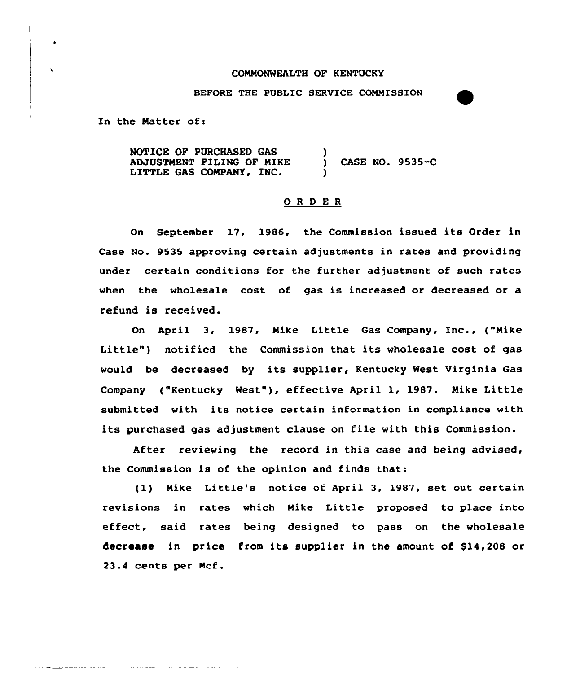## CONNONWEALTH OF KENTUCKY

BEFORE THE PUBLIC SERVICE CONNISSION

In the Natter of:

NOTICE OF PURCHASED GAS ADJUSTNENT PILING OF NIKE LITTLE GAS COMPANY, INC. ) ) CASE NO. 9535-C )

## 0 <sup>R</sup> <sup>D</sup> <sup>E</sup> <sup>R</sup>

On September 17, 1986, the Commission issued its Order in Case No. 9535 approving certain adjustments in rates and providing under certain conditions for the further adjustment of such rates when the wholesale cost of gas is increased or decreased or a refund is received.

On April 3, 1987, Nike Little Gas Company, Inc., ("Nike Little") notified the Commission that its wholesale cost of gas would be decreased by its supplier, Kentucky West Virginia Gas Company ("Kentucky West"), effective April 1, 1987. Mike Little submitted with its notice certain information in compliance with its purchased gas adjustment clause on file with this Commission.

After reviewing the record in this case and being advised, the Commission is of the opinion and finds that:

(1) Nike Little's notice of April 3, 1987, set out certain revisions in rates which Nike Little proposed to place into effect, said rates being designed to pass on the wholesale decrease in price from its supplier in the amount of \$14,208 or 23.4 cents per Ncf.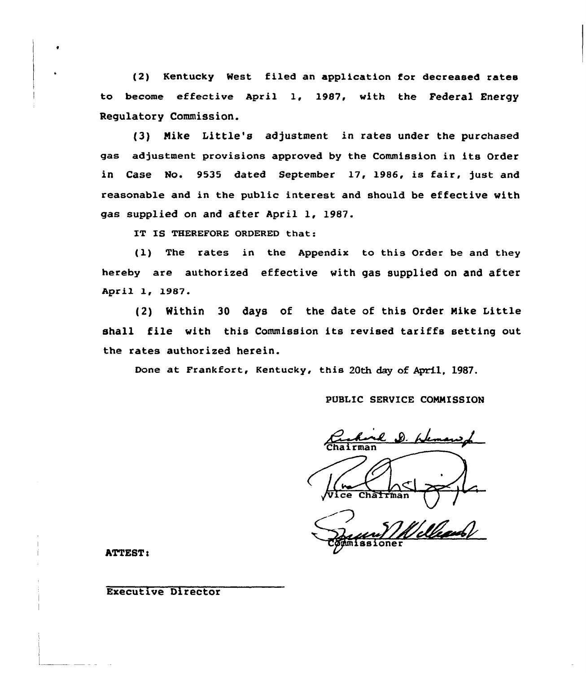(2) Kentucky Nest filed an application for decreased rates to become effective April 1, 19B7, with the Federal Energy Regulatory Commission.

(3) Mike Little's adjustment in rates under the purchased gas adjustment provisions approved by the Commission in its Order in Case No. 9535 dated September 17, 1986, is fair, just and reasonable and in the public interest and should be effective with gas supplied on and after April 1, 198?.

IT IS THEREFORE ORDERED that:

(1) The rates in the Appendix to this Order be and they hereby are authorized effective with gas supplied on and after April 1, 1987.

(2) within <sup>30</sup> days of the date of this order Nike Little shall file with this Commission its revised tariffs setting out the rates authorized herein.

Done at Frankfort, Kentucky, this 20th day of April, 1987.

PUBLIC SERVICE CONNISSION

D. Lleman **Chairma** Wice Chairman

ssioner

ATTEST i

 $\bullet$ 

Executive Director